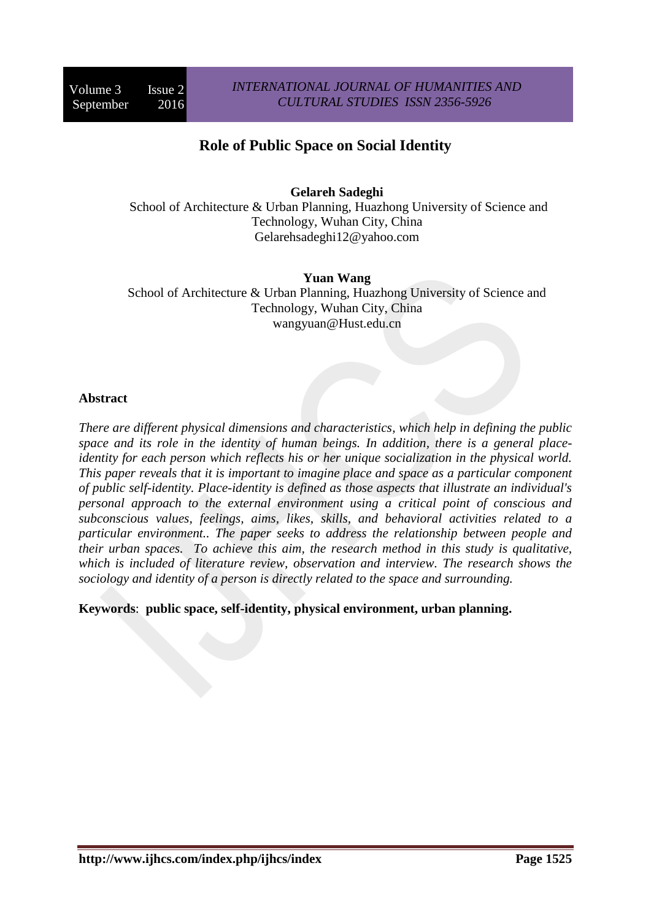# **Role of Public Space on Social Identity**

**Gelareh Sadeghi** 

School of Architecture & Urban Planning, Huazhong University of Science and Technology, Wuhan City, China Gelarehsadeghi12@yahoo.com

**Yuan Wang**  School of Architecture & Urban Planning, Huazhong University of Science and Technology, Wuhan City, China wangyuan@Hust.edu.cn

## **Abstract**

*There are different physical dimensions and characteristics, which help in defining the public space and its role in the identity of human beings. In addition, there is a general placeidentity for each person which reflects his or her unique socialization in the physical world. This paper reveals that it is important to imagine place and space as a particular component of public self-identity. Place-identity is defined as those aspects that illustrate an individual's personal approach to the external environment using a critical point of conscious and subconscious values, feelings, aims, likes, skills, and behavioral activities related to a particular environment.. The paper seeks to address the relationship between people and their urban spaces. To achieve this aim, the research method in this study is qualitative, which is included of literature review, observation and interview. The research shows the sociology and identity of a person is directly related to the space and surrounding.* 

**Keywords**: **public space, self-identity, physical environment, urban planning.**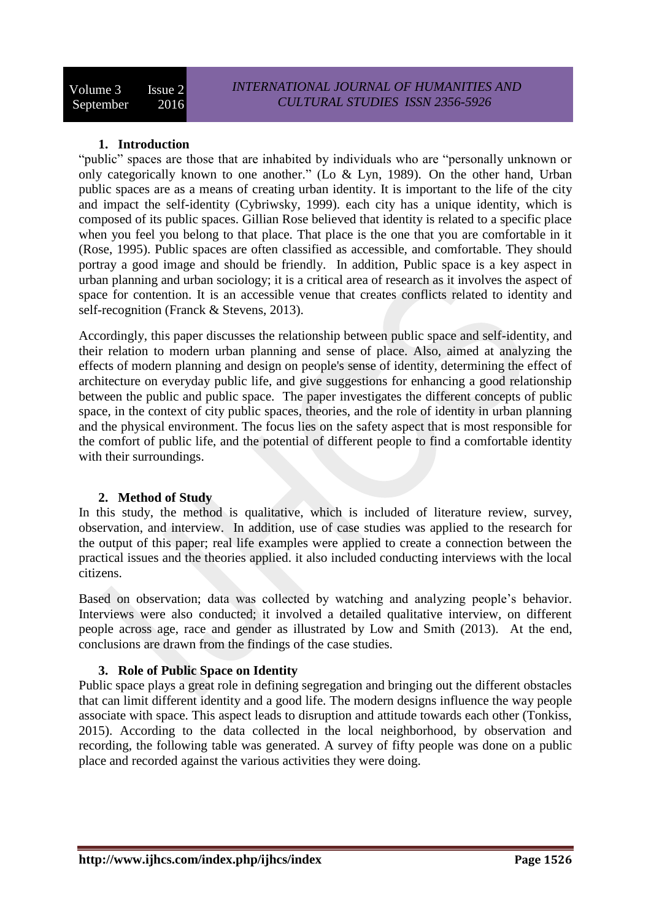## **1. Introduction**

"public" spaces are those that are inhabited by individuals who are "personally unknown or only categorically known to one another." (Lo & Lyn, 1989). On the other hand, Urban public spaces are as a means of creating urban identity. It is important to the life of the city and impact the self-identity (Cybriwsky, 1999). each city has a unique identity, which is composed of its public spaces. Gillian Rose believed that identity is related to a specific place when you feel you belong to that place. That place is the one that you are comfortable in it (Rose, 1995). Public spaces are often classified as accessible, and comfortable. They should portray a good image and should be friendly. In addition, Public space is a key aspect in urban planning and urban sociology; it is a critical area of research as it involves the aspect of space for contention. It is an accessible venue that creates conflicts related to identity and self-recognition (Franck & Stevens, 2013).

Accordingly, this paper discusses the relationship between public space and self-identity, and their relation to modern urban planning and sense of place. Also, aimed at analyzing the effects of modern planning and design on people's sense of identity, determining the effect of architecture on everyday public life, and give suggestions for enhancing a good relationship between the public and public space. The paper investigates the different concepts of public space, in the context of city public spaces, theories, and the role of identity in urban planning and the physical environment. The focus lies on the safety aspect that is most responsible for the comfort of public life, and the potential of different people to find a comfortable identity with their surroundings.

## **2. Method of Study**

In this study, the method is qualitative, which is included of literature review, survey, observation, and interview. In addition, use of case studies was applied to the research for the output of this paper; real life examples were applied to create a connection between the practical issues and the theories applied. it also included conducting interviews with the local citizens.

Based on observation; data was collected by watching and analyzing people's behavior. Interviews were also conducted; it involved a detailed qualitative interview, on different people across age, race and gender as illustrated by Low and Smith (2013). At the end, conclusions are drawn from the findings of the case studies.

## **3. Role of Public Space on Identity**

Public space plays a great role in defining segregation and bringing out the different obstacles that can limit different identity and a good life. The modern designs influence the way people associate with space. This aspect leads to disruption and attitude towards each other (Tonkiss, 2015). According to the data collected in the local neighborhood, by observation and recording, the following table was generated. A survey of fifty people was done on a public place and recorded against the various activities they were doing.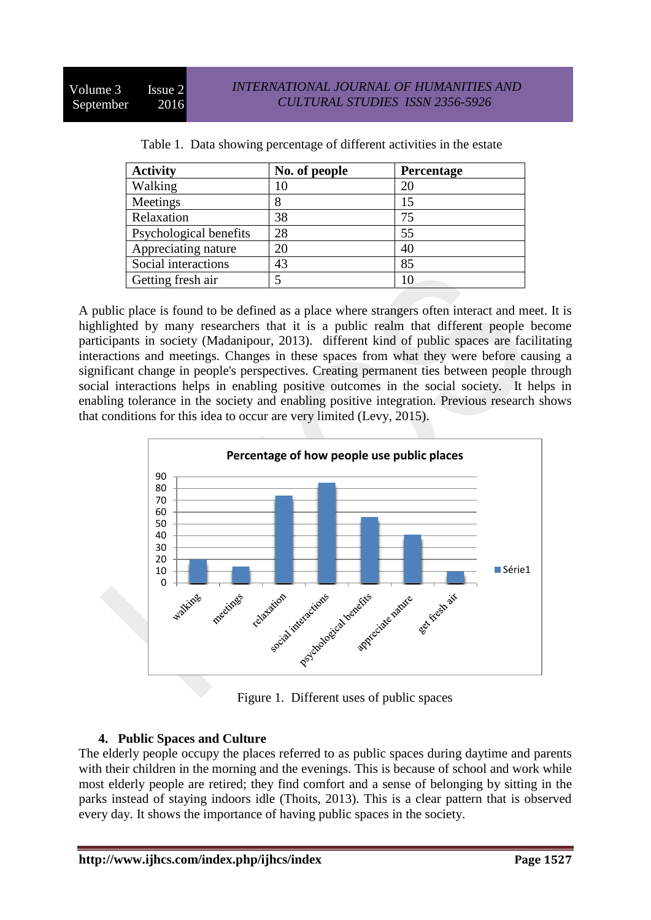| <b>Activity</b>        | No. of people | <b>Percentage</b> |
|------------------------|---------------|-------------------|
| Walking                | 10            | 20                |
| Meetings               | 8             | 15                |
| Relaxation             | 38            | 75                |
| Psychological benefits | 28            | 55                |
| Appreciating nature    | 20            | 40                |
| Social interactions    | 43            | 85                |
| Getting fresh air      |               | 10                |

| Table 1. Data showing percentage of different activities in the estate |  |  |
|------------------------------------------------------------------------|--|--|
|                                                                        |  |  |

A public place is found to be defined as a place where strangers often interact and meet. It is highlighted by many researchers that it is a public realm that different people become participants in society (Madanipour, 2013). different kind of public spaces are facilitating interactions and meetings. Changes in these spaces from what they were before causing a significant change in people's perspectives. Creating permanent ties between people through social interactions helps in enabling positive outcomes in the social society. It helps in enabling tolerance in the society and enabling positive integration. Previous research shows that conditions for this idea to occur are very limited (Levy, 2015).



Figure 1. Different uses of public spaces

## **4. Public Spaces and Culture**

The elderly people occupy the places referred to as public spaces during daytime and parents with their children in the morning and the evenings. This is because of school and work while most elderly people are retired; they find comfort and a sense of belonging by sitting in the parks instead of staying indoors idle (Thoits, 2013). This is a clear pattern that is observed every day. It shows the importance of having public spaces in the society.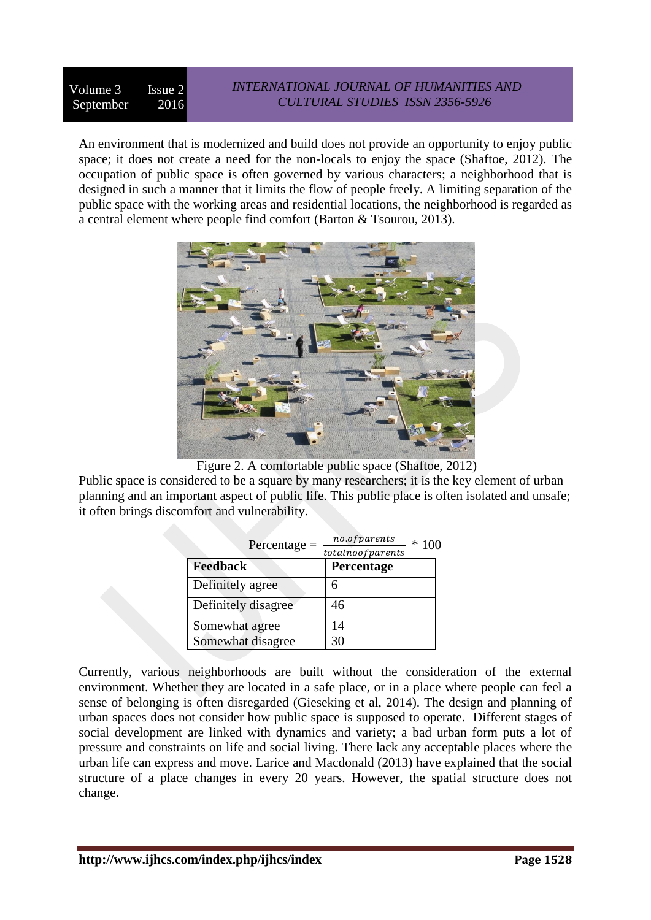#### Volume 3 Issue 2 September 2016 *INTERNATIONAL JOURNAL OF HUMANITIES AND CULTURAL STUDIES ISSN 2356-5926*

An environment that is modernized and build does not provide an opportunity to enjoy public space; it does not create a need for the non-locals to enjoy the space (Shaftoe, 2012). The occupation of public space is often governed by various characters; a neighborhood that is designed in such a manner that it limits the flow of people freely. A limiting separation of the public space with the working areas and residential locations, the neighborhood is regarded as a central element where people find comfort (Barton & Tsourou, 2013).



Figure 2. A comfortable public space (Shaftoe, 2012)

Public space is considered to be a square by many researchers; it is the key element of urban planning and an important aspect of public life. This public place is often isolated and unsafe; it often brings discomfort and vulnerability.

| $Percentage =$      | no.ofparents<br>totalnoofparents | $*100$ |
|---------------------|----------------------------------|--------|
| <b>Feedback</b>     | Percentage                       |        |
| Definitely agree    |                                  |        |
| Definitely disagree | 46                               |        |
| Somewhat agree      | 14                               |        |
| Somewhat disagree   | 30                               |        |

Currently, various neighborhoods are built without the consideration of the external environment. Whether they are located in a safe place, or in a place where people can feel a sense of belonging is often disregarded (Gieseking et al, 2014). The design and planning of urban spaces does not consider how public space is supposed to operate. Different stages of social development are linked with dynamics and variety; a bad urban form puts a lot of pressure and constraints on life and social living. There lack any acceptable places where the urban life can express and move. Larice and Macdonald (2013) have explained that the social structure of a place changes in every 20 years. However, the spatial structure does not change.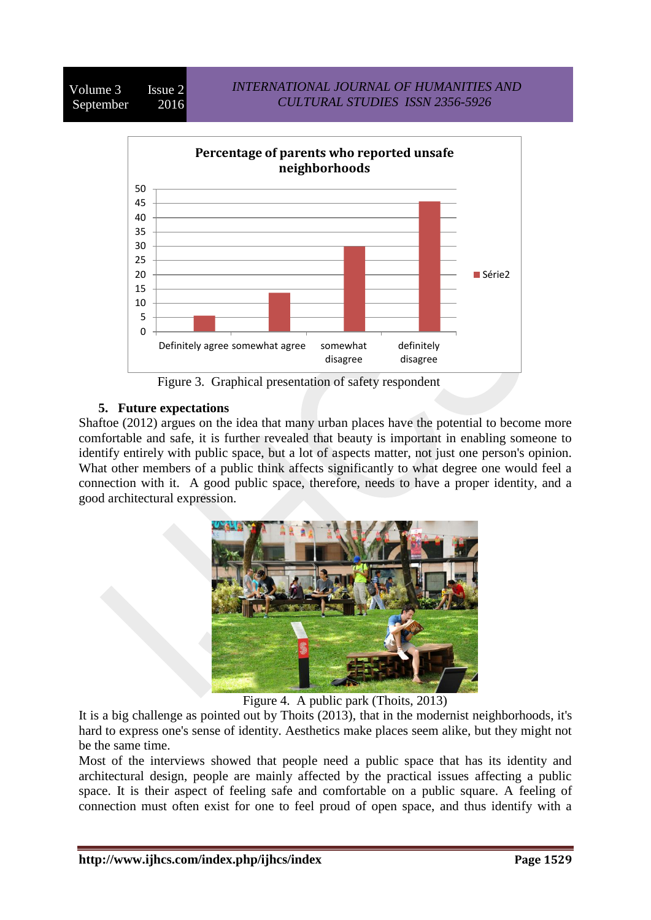

## **5. Future expectations**

Shaftoe (2012) argues on the idea that many urban places have the potential to become more comfortable and safe, it is further revealed that beauty is important in enabling someone to identify entirely with public space, but a lot of aspects matter, not just one person's opinion. What other members of a public think affects significantly to what degree one would feel a connection with it. A good public space, therefore, needs to have a proper identity, and a good architectural expression.



Figure 4. A public park (Thoits, 2013)

It is a big challenge as pointed out by Thoits (2013), that in the modernist neighborhoods, it's hard to express one's sense of identity. Aesthetics make places seem alike, but they might not be the same time.

Most of the interviews showed that people need a public space that has its identity and architectural design, people are mainly affected by the practical issues affecting a public space. It is their aspect of feeling safe and comfortable on a public square. A feeling of connection must often exist for one to feel proud of open space, and thus identify with a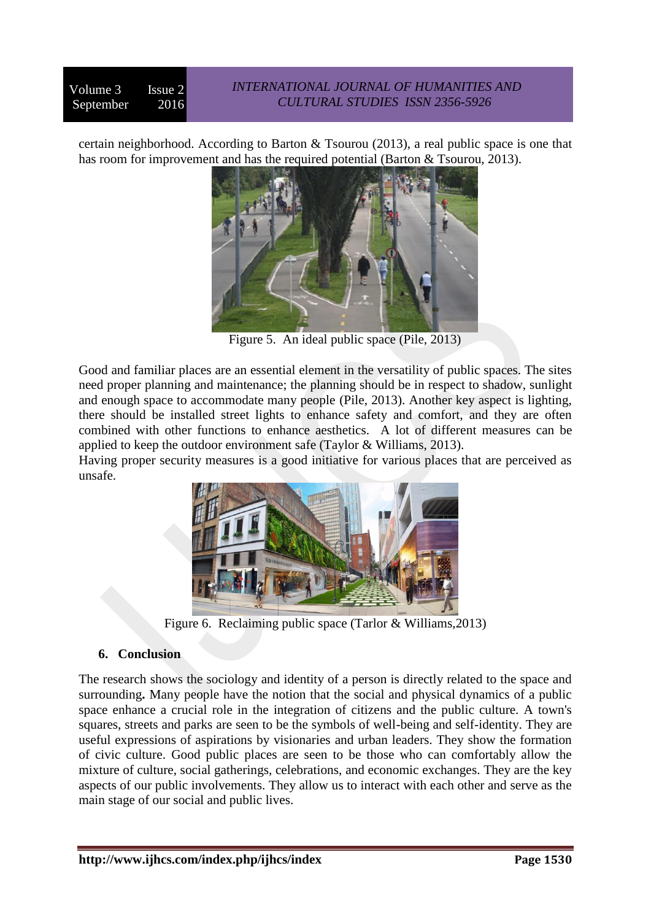certain neighborhood. According to Barton & Tsourou (2013), a real public space is one that has room for improvement and has the required potential (Barton & Tsourou, 2013).



Figure 5. An ideal public space (Pile, 2013)

Good and familiar places are an essential element in the versatility of public spaces. The sites need proper planning and maintenance; the planning should be in respect to shadow, sunlight and enough space to accommodate many people (Pile, 2013). Another key aspect is lighting, there should be installed street lights to enhance safety and comfort, and they are often combined with other functions to enhance aesthetics. A lot of different measures can be applied to keep the outdoor environment safe (Taylor & Williams, 2013).

Having proper security measures is a good initiative for various places that are perceived as unsafe.



Figure 6. Reclaiming public space (Tarlor & Williams,2013)

## **6. Conclusion**

The research shows the sociology and identity of a person is directly related to the space and surrounding**.** Many people have the notion that the social and physical dynamics of a public space enhance a crucial role in the integration of citizens and the public culture. A town's squares, streets and parks are seen to be the symbols of well-being and self-identity. They are useful expressions of aspirations by visionaries and urban leaders. They show the formation of civic culture. Good public places are seen to be those who can comfortably allow the mixture of culture, social gatherings, celebrations, and economic exchanges. They are the key aspects of our public involvements. They allow us to interact with each other and serve as the main stage of our social and public lives.